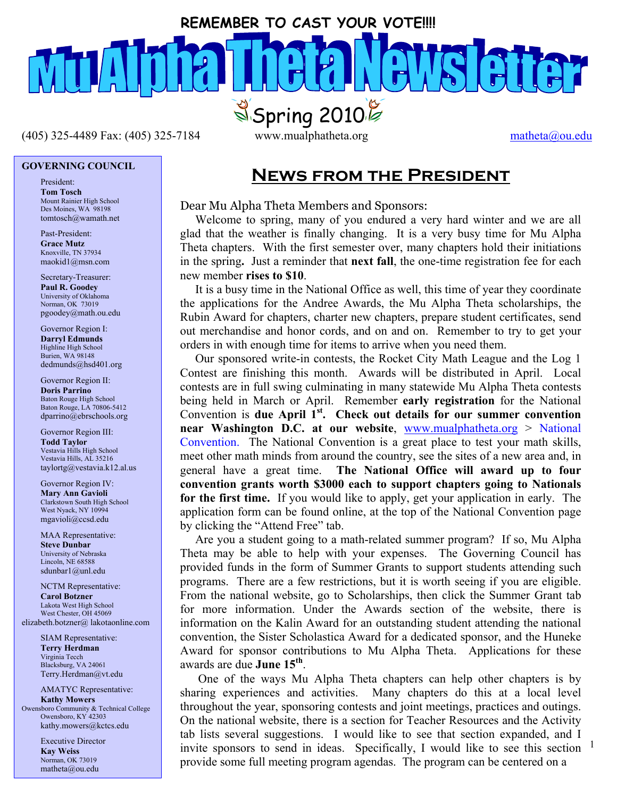### **REMEMBER TO CAST YOUR VOTE!!!!**

 $(405)$  325-4489 Fax: (405) 325-7184 www.mualphatheta.org matheta@ou.edu

# **GOVERNING COUNCIL**

President: **Tom Tosch**  Mount Rainier High School Des Moines, WA 98198 tomtosch@wamath.net

Past-President: **Grace Mutz**  Knoxville, TN 37934 maokid1@msn.com

Secretary-Treasurer: **Paul R. Goodey**  University of Oklahoma Norman, OK 73019 pgoodey@math.ou.edu

Governor Region I: **Darryl Edmunds**  Highline High School Burien, WA 98148 dedmunds@hsd401.org

Governor Region II: **Doris Parrino**  Baton Rouge High School Baton Rouge, LA 70806-5412 dparrino@ebrschools.org

Governor Region III: **Todd Taylor**  Vestavia Hills High School Vestavia Hills, AL 35216 taylortg@vestavia.k12.al.us

Governor Region IV: **Mary Ann Gavioli**  Clarkstown South High School West Nyack, NY 10994 mgavioli@ccsd.edu

MAA Representative: **Steve Dunbar**<br>University of Nebraska Lincoln, NE 68588 sdunbar1@unl.edu

NCTM Representative: **Carol Botzner**  Lakota West High School West Chester, OH 45069 elizabeth.botzner@ lakotaonline.com

> SIAM Representative: **Terry Herdman**  Virginia Tecch Blacksburg, VA 24061 Terry.Herdman@vt.edu

AMATYC Representative: **Kathy Mowers**  Owensboro Community & Technical College Owensboro, KY 42303 kathy.mowers@kctcs.edu

> Executive Director **Kay Weiss**  Norman, OK 73019 matheta@ou.edu

 $S<sub>Spring</sub> 2010%$ 

# **News from the President**

#### Dear Mu Alpha Theta Members and Sponsors:

 Welcome to spring, many of you endured a very hard winter and we are all glad that the weather is finally changing. It is a very busy time for Mu Alpha Theta chapters. With the first semester over, many chapters hold their initiations in the spring**.** Just a reminder that **next fall**, the one-time registration fee for each new member **rises to \$10**.

 It is a busy time in the National Office as well, this time of year they coordinate the applications for the Andree Awards, the Mu Alpha Theta scholarships, the Rubin Award for chapters, charter new chapters, prepare student certificates, send out merchandise and honor cords, and on and on. Remember to try to get your orders in with enough time for items to arrive when you need them.

 Our sponsored write-in contests, the Rocket City Math League and the Log 1 Contest are finishing this month. Awards will be distributed in April. Local contests are in full swing culminating in many statewide Mu Alpha Theta contests being held in March or April. Remember **early registration** for the National Convention is due April 1<sup>st</sup>. Check out details for our summer convention **near Washington D.C. at our website**, www.mualphatheta.org > National Convention. The National Convention is a great place to test your math skills, meet other math minds from around the country, see the sites of a new area and, in general have a great time. **The National Office will award up to four convention grants worth \$3000 each to support chapters going to Nationals for the first time.** If you would like to apply, get your application in early. The application form can be found online, at the top of the National Convention page by clicking the "Attend Free" tab.

 Are you a student going to a math-related summer program? If so, Mu Alpha Theta may be able to help with your expenses. The Governing Council has provided funds in the form of Summer Grants to support students attending such programs. There are a few restrictions, but it is worth seeing if you are eligible. From the national website, go to Scholarships, then click the Summer Grant tab for more information. Under the Awards section of the website, there is information on the Kalin Award for an outstanding student attending the national convention, the Sister Scholastica Award for a dedicated sponsor, and the Huneke Award for sponsor contributions to Mu Alpha Theta. Applications for these awards are due **June 15th**.

invite sponsors to send in ideas. Specifically, I would like to see this section  $1$  One of the ways Mu Alpha Theta chapters can help other chapters is by sharing experiences and activities. Many chapters do this at a local level throughout the year, sponsoring contests and joint meetings, practices and outings. On the national website, there is a section for Teacher Resources and the Activity tab lists several suggestions. I would like to see that section expanded, and I provide some full meeting program agendas. The program can be centered on a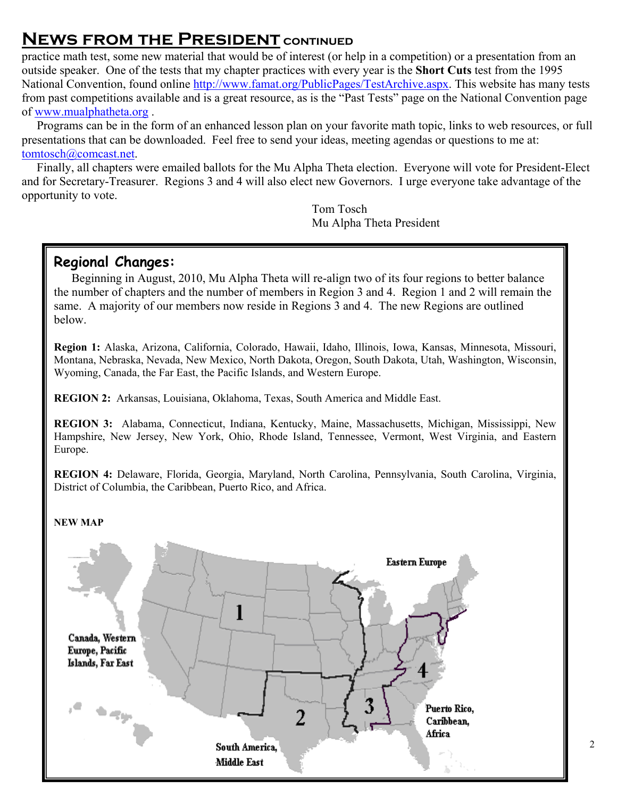# **NEWS FROM THE PRESIDENT CONTINUED**

practice math test, some new material that would be of interest (or help in a competition) or a presentation from an outside speaker. One of the tests that my chapter practices with every year is the **Short Cuts** test from the 1995 National Convention, found online http://www.famat.org/PublicPages/TestArchive.aspx. This website has many tests from past competitions available and is a great resource, as is the "Past Tests" page on the National Convention page of www.mualphatheta.org .

 Programs can be in the form of an enhanced lesson plan on your favorite math topic, links to web resources, or full presentations that can be downloaded. Feel free to send your ideas, meeting agendas or questions to me at: tomtosch@comcast.net.

 Finally, all chapters were emailed ballots for the Mu Alpha Theta election. Everyone will vote for President-Elect and for Secretary-Treasurer. Regions 3 and 4 will also elect new Governors. I urge everyone take advantage of the opportunity to vote.

> Tom Tosch Mu Alpha Theta President

## **Regional Changes:**

Beginning in August, 2010, Mu Alpha Theta will re-align two of its four regions to better balance the number of chapters and the number of members in Region 3 and 4. Region 1 and 2 will remain the same. A majority of our members now reside in Regions 3 and 4. The new Regions are outlined below.

**Region 1:** Alaska, Arizona, California, Colorado, Hawaii, Idaho, Illinois, Iowa, Kansas, Minnesota, Missouri, Montana, Nebraska, Nevada, New Mexico, North Dakota, Oregon, South Dakota, Utah, Washington, Wisconsin, Wyoming, Canada, the Far East, the Pacific Islands, and Western Europe.

**REGION 2:** Arkansas, Louisiana, Oklahoma, Texas, South America and Middle East.

**REGION 3:** Alabama, Connecticut, Indiana, Kentucky, Maine, Massachusetts, Michigan, Mississippi, New Hampshire, New Jersey, New York, Ohio, Rhode Island, Tennessee, Vermont, West Virginia, and Eastern Europe.

**REGION 4:** Delaware, Florida, Georgia, Maryland, North Carolina, Pennsylvania, South Carolina, Virginia, District of Columbia, the Caribbean, Puerto Rico, and Africa.

#### **NEW MAP**

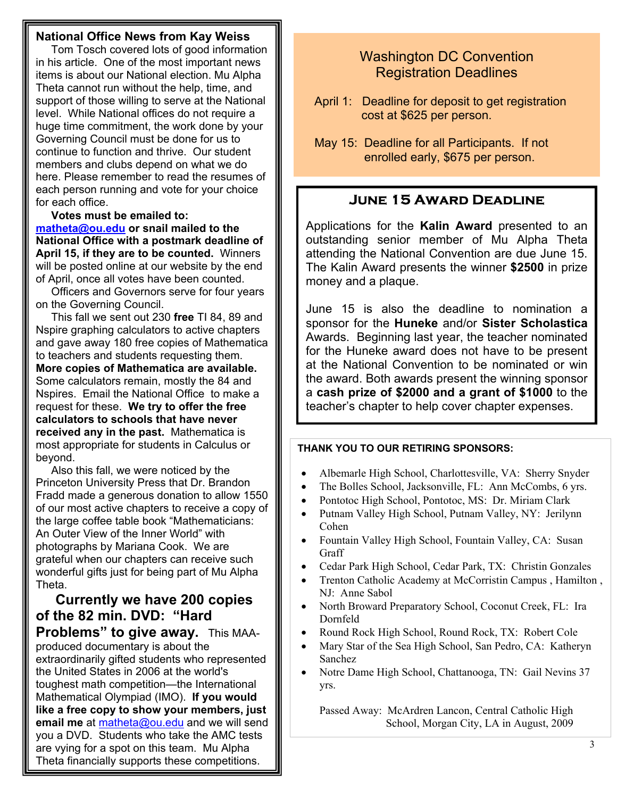#### **National Office News from Kay Weiss**

I

I

I

I

 Tom Tosch covered lots of good information in his article. One of the most important news items is about our National election. Mu Alpha Theta cannot run without the help, time, and support of those willing to serve at the National level. While National offices do not require a huge time commitment, the work done by your Governing Council must be done for us to continue to function and thrive. Our student members and clubs depend on what we do here. Please remember to read the resumes of each person running and vote for your choice for each office.

 **Votes must be emailed to: matheta@ou.edu or snail mailed to the National Office with a postmark deadline of April 15, if they are to be counted.** Winners will be posted online at our website by the end of April, once all votes have been counted.

 Officers and Governors serve for four years on the Governing Council.

 This fall we sent out 230 **free** TI 84, 89 and Nspire graphing calculators to active chapters and gave away 180 free copies of Mathematica to teachers and students requesting them. **More copies of Mathematica are available.** Some calculators remain, mostly the 84 and Nspires. Email the National Office to make a request for these. **We try to offer the free calculators to schools that have never received any in the past.** Mathematica is most appropriate for students in Calculus or beyond.

Į the large coffee table book "Mathematicians: Also this fall, we were noticed by the Princeton University Press that Dr. Brandon Fradd made a generous donation to allow 1550 of our most active chapters to receive a copy of An Outer View of the Inner World" with photographs by Mariana Cook. We are grateful when our chapters can receive such wonderful gifts just for being part of Mu Alpha Theta.

 **Currently we have 200 copies of the 82 min. DVD: "Hard Problems" to give away.** This MAAproduced documentary is about the extraordinarily gifted students who represented the United States in 2006 at the world's toughest math competition—the International Mathematical Olympiad (IMO). **If you would like a free copy to show your members, just email me** at matheta@ou.edu and we will send you a DVD. Students who take the AMC tests are vying for a spot on this team. Mu Alpha Theta financially supports these competitions.

## Washington DC Convention Registration Deadlines

- April 1: Deadline for deposit to get registration cost at \$625 per person.
- May 15: Deadline for all Participants. If not enrolled early, \$675 per person.

### **June 15 Award Deadline**

Applications for the **Kalin Award** presented to an outstanding senior member of Mu Alpha Theta attending the National Convention are due June 15. The Kalin Award presents the winner **\$2500** in prize money and a plaque.

June 15 is also the deadline to nomination a sponsor for the **Huneke** and/or **Sister Scholastica** Awards. Beginning last year, the teacher nominated for the Huneke award does not have to be present at the National Convention to be nominated or win the award. Both awards present the winning sponsor a **cash prize of \$2000 and a grant of \$1000** to the teacher's chapter to help cover chapter expenses.

#### **THANK YOU TO OUR RETIRING SPONSORS:**

- Albemarle High School, Charlottesville, VA: Sherry Snyder
- The Bolles School, Jacksonville, FL: Ann McCombs, 6 yrs.
- Pontotoc High School, Pontotoc, MS: Dr. Miriam Clark
- Putnam Valley High School, Putnam Valley, NY: Jerilynn Cohen
- Fountain Valley High School, Fountain Valley, CA: Susan Graff
- Cedar Park High School, Cedar Park, TX: Christin Gonzales
- Trenton Catholic Academy at McCorristin Campus , Hamilton , NJ: Anne Sabol
- North Broward Preparatory School, Coconut Creek, FL: Ira Dornfeld
- Round Rock High School, Round Rock, TX: Robert Cole
- Mary Star of the Sea High School, San Pedro, CA: Katheryn Sanchez
- Notre Dame High School, Chattanooga, TN: Gail Nevins 37 yrs.

Passed Away: McArdren Lancon, Central Catholic High School, Morgan City, LA in August, 2009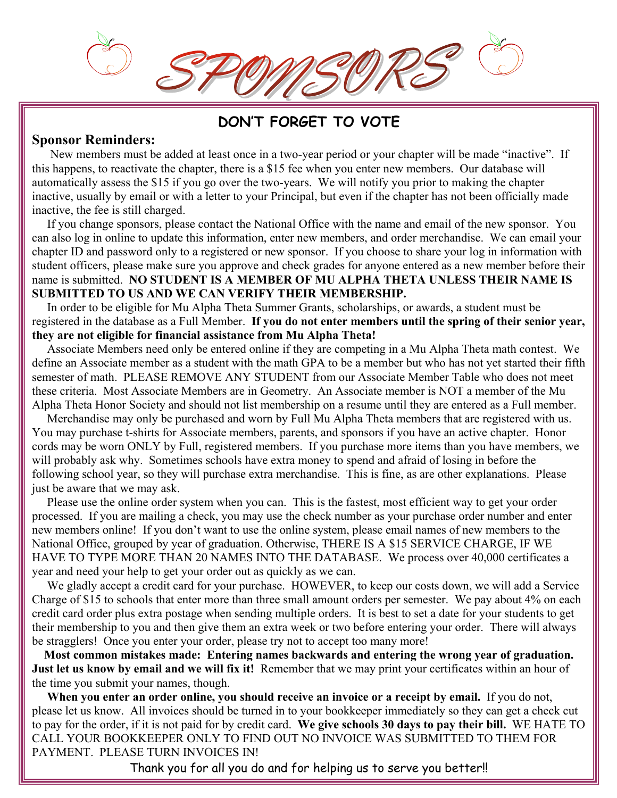# **DON'T FORGET TO VOTE**

### **Sponsor Reminders:**

New members must be added at least once in a two-year period or your chapter will be made "inactive". If this happens, to reactivate the chapter, there is a \$15 fee when you enter new members. Our database will automatically assess the \$15 if you go over the two-years. We will notify you prior to making the chapter inactive, usually by email or with a letter to your Principal, but even if the chapter has not been officially made inactive, the fee is still charged.

 If you change sponsors, please contact the National Office with the name and email of the new sponsor. You can also log in online to update this information, enter new members, and order merchandise. We can email your chapter ID and password only to a registered or new sponsor. If you choose to share your log in information with student officers, please make sure you approve and check grades for anyone entered as a new member before their name is submitted. **NO STUDENT IS A MEMBER OF MU ALPHA THETA UNLESS THEIR NAME IS SUBMITTED TO US AND WE CAN VERIFY THEIR MEMBERSHIP.** 

In order to be eligible for Mu Alpha Theta Summer Grants, scholarships, or awards, a student must be registered in the database as a Full Member. **If you do not enter members until the spring of their senior year, they are not eligible for financial assistance from Mu Alpha Theta!**

 Associate Members need only be entered online if they are competing in a Mu Alpha Theta math contest. We define an Associate member as a student with the math GPA to be a member but who has not yet started their fifth semester of math. PLEASE REMOVE ANY STUDENT from our Associate Member Table who does not meet these criteria. Most Associate Members are in Geometry. An Associate member is NOT a member of the Mu Alpha Theta Honor Society and should not list membership on a resume until they are entered as a Full member.

 Merchandise may only be purchased and worn by Full Mu Alpha Theta members that are registered with us. You may purchase t-shirts for Associate members, parents, and sponsors if you have an active chapter. Honor cords may be worn ONLY by Full, registered members. If you purchase more items than you have members, we will probably ask why. Sometimes schools have extra money to spend and afraid of losing in before the following school year, so they will purchase extra merchandise. This is fine, as are other explanations. Please just be aware that we may ask.

 Please use the online order system when you can. This is the fastest, most efficient way to get your order processed. If you are mailing a check, you may use the check number as your purchase order number and enter new members online! If you don't want to use the online system, please email names of new members to the National Office, grouped by year of graduation. Otherwise, THERE IS A \$15 SERVICE CHARGE, IF WE HAVE TO TYPE MORE THAN 20 NAMES INTO THE DATABASE. We process over 40,000 certificates a year and need your help to get your order out as quickly as we can.

 We gladly accept a credit card for your purchase. HOWEVER, to keep our costs down, we will add a Service Charge of \$15 to schools that enter more than three small amount orders per semester. We pay about 4% on each credit card order plus extra postage when sending multiple orders. It is best to set a date for your students to get their membership to you and then give them an extra week or two before entering your order. There will always be stragglers! Once you enter your order, please try not to accept too many more!

 **Most common mistakes made: Entering names backwards and entering the wrong year of graduation. Just let us know by email and we will fix it!** Remember that we may print your certificates within an hour of the time you submit your names, though.

 **When you enter an order online, you should receive an invoice or a receipt by email.** If you do not, please let us know. All invoices should be turned in to your bookkeeper immediately so they can get a check cut to pay for the order, if it is not paid for by credit card. **We give schools 30 days to pay their bill.** WE HATE TO CALL YOUR BOOKKEEPER ONLY TO FIND OUT NO INVOICE WAS SUBMITTED TO THEM FOR PAYMENT. PLEASE TURN INVOICES IN!

Thank you for all you do and for helping us to serve you better!!

4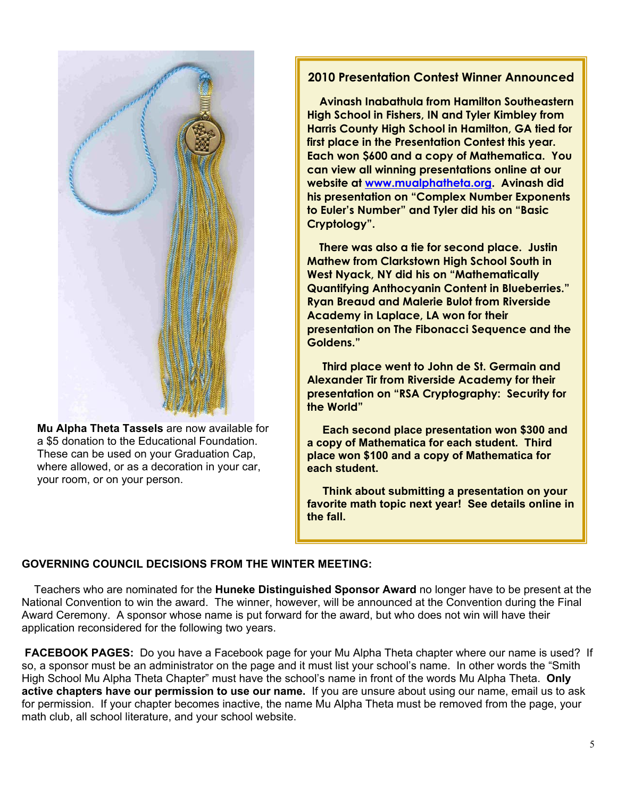

 **Mu Alpha Theta Tassels** are now available for a \$5 donation to the Educational Foundation. These can be used on your Graduation Cap, where allowed, or as a decoration in your car, your room, or on your person.

### **2010 Presentation Contest Winner Announced**

 **Avinash Inabathula from Hamilton Southeastern High School in Fishers, IN and Tyler Kimbley from Harris County High School in Hamilton, GA tied for first place in the Presentation Contest this year. Each won \$600 and a copy of Mathematica. You can view all winning presentations online at our website at www.mualphatheta.org. Avinash did his presentation on "Complex Number Exponents to Euler's Number" and Tyler did his on "Basic Cryptology".** 

 **There was also a tie for second place. Justin Mathew from Clarkstown High School South in West Nyack, NY did his on "Mathematically Quantifying Anthocyanin Content in Blueberries." Ryan Breaud and Malerie Bulot from Riverside Academy in Laplace, LA won for their presentation on The Fibonacci Sequence and the Goldens."** 

 **Third place went to John de St. Germain and Alexander Tir from Riverside Academy for their presentation on "RSA Cryptography: Security for the World"** 

 **Each second place presentation won \$300 and a copy of Mathematica for each student. Third place won \$100 and a copy of Mathematica for each student.** 

 **Think about submitting a presentation on your favorite math topic next year! See details online in the fall.** 

#### **GOVERNING COUNCIL DECISIONS FROM THE WINTER MEETING:**

 Teachers who are nominated for the **Huneke Distinguished Sponsor Award** no longer have to be present at the National Convention to win the award. The winner, however, will be announced at the Convention during the Final Award Ceremony. A sponsor whose name is put forward for the award, but who does not win will have their application reconsidered for the following two years.

**FACEBOOK PAGES:** Do you have a Facebook page for your Mu Alpha Theta chapter where our name is used? If so, a sponsor must be an administrator on the page and it must list your school's name. In other words the "Smith High School Mu Alpha Theta Chapter" must have the school's name in front of the words Mu Alpha Theta. **Only active chapters have our permission to use our name.** If you are unsure about using our name, email us to ask for permission. If your chapter becomes inactive, the name Mu Alpha Theta must be removed from the page, your math club, all school literature, and your school website.